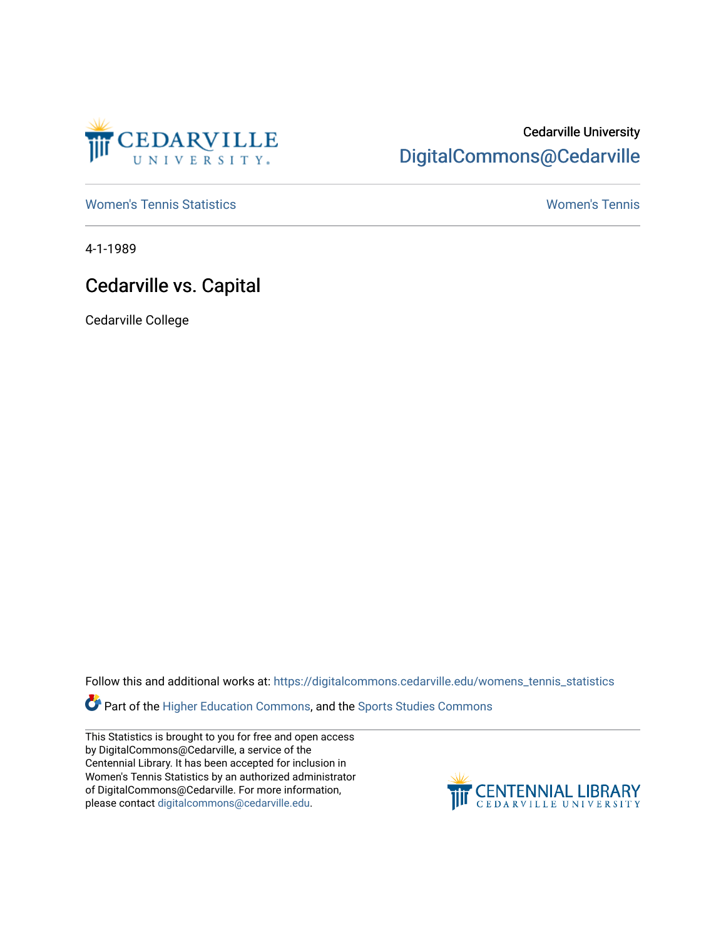

## Cedarville University [DigitalCommons@Cedarville](https://digitalcommons.cedarville.edu/)

[Women's Tennis Statistics](https://digitalcommons.cedarville.edu/womens_tennis_statistics) [Women's Tennis](https://digitalcommons.cedarville.edu/womens_tennis) 

4-1-1989

## Cedarville vs. Capital

Cedarville College

Follow this and additional works at: [https://digitalcommons.cedarville.edu/womens\\_tennis\\_statistics](https://digitalcommons.cedarville.edu/womens_tennis_statistics?utm_source=digitalcommons.cedarville.edu%2Fwomens_tennis_statistics%2F104&utm_medium=PDF&utm_campaign=PDFCoverPages) 

Part of the [Higher Education Commons,](http://network.bepress.com/hgg/discipline/1245?utm_source=digitalcommons.cedarville.edu%2Fwomens_tennis_statistics%2F104&utm_medium=PDF&utm_campaign=PDFCoverPages) and the [Sports Studies Commons](http://network.bepress.com/hgg/discipline/1198?utm_source=digitalcommons.cedarville.edu%2Fwomens_tennis_statistics%2F104&utm_medium=PDF&utm_campaign=PDFCoverPages) 

This Statistics is brought to you for free and open access by DigitalCommons@Cedarville, a service of the Centennial Library. It has been accepted for inclusion in Women's Tennis Statistics by an authorized administrator of DigitalCommons@Cedarville. For more information, please contact [digitalcommons@cedarville.edu](mailto:digitalcommons@cedarville.edu).